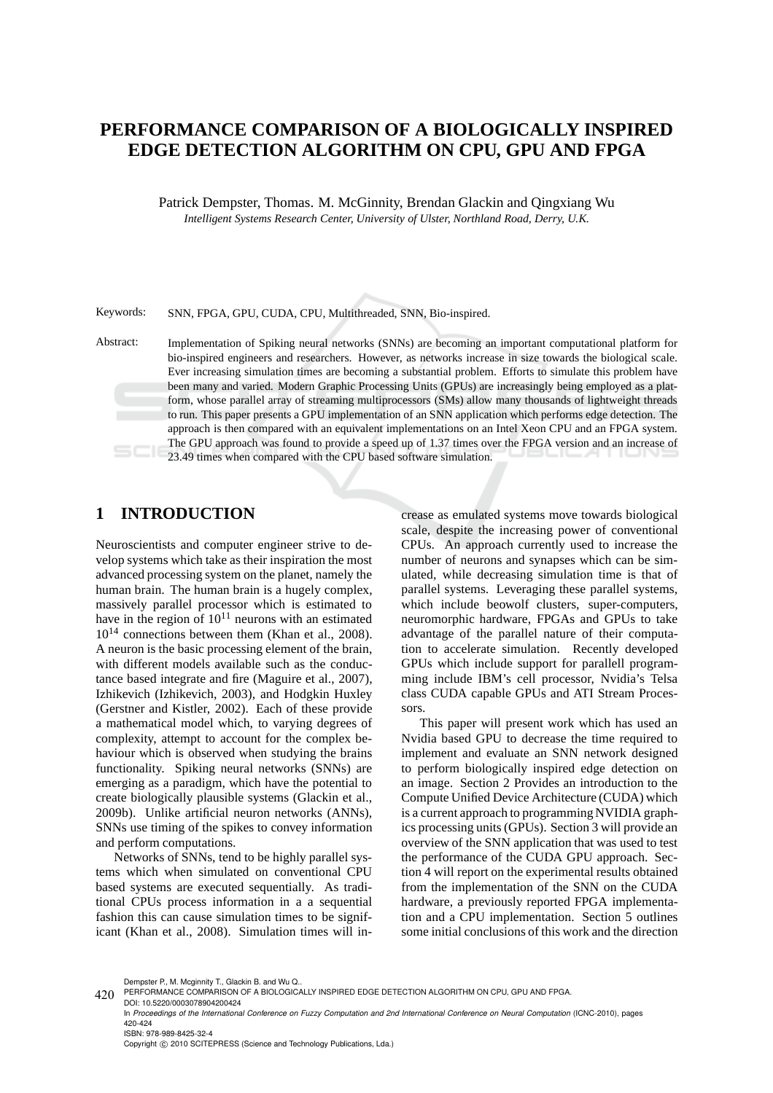# **PERFORMANCE COMPARISON OF A BIOLOGICALLY INSPIRED EDGE DETECTION ALGORITHM ON CPU, GPU AND FPGA**

Patrick Dempster, Thomas. M. McGinnity, Brendan Glackin and Qingxiang Wu *Intelligent Systems Research Center, University of Ulster, Northland Road, Derry, U.K.*

Keywords: SNN, FPGA, GPU, CUDA, CPU, Multithreaded, SNN, Bio-inspired.

Abstract: Implementation of Spiking neural networks (SNNs) are becoming an important computational platform for bio-inspired engineers and researchers. However, as networks increase in size towards the biological scale. Ever increasing simulation times are becoming a substantial problem. Efforts to simulate this problem have been many and varied. Modern Graphic Processing Units (GPUs) are increasingly being employed as a platform, whose parallel array of streaming multiprocessors (SMs) allow many thousands of lightweight threads to run. This paper presents a GPU implementation of an SNN application which performs edge detection. The approach is then compared with an equivalent implementations on an Intel Xeon CPU and an FPGA system. The GPU approach was found to provide a speed up of 1.37 times over the FPGA version and an increase of 23.49 times when compared with the CPU based software simulation.

#### **1 INTRODUCTION**

Neuroscientists and computer engineer strive to develop systems which take as their inspiration the most advanced processing system on the planet, namely the human brain. The human brain is a hugely complex, massively parallel processor which is estimated to have in the region of  $10^{11}$  neurons with an estimated  $10^{14}$  connections between them (Khan et al., 2008). A neuron is the basic processing element of the brain, with different models available such as the conductance based integrate and fire (Maguire et al., 2007), Izhikevich (Izhikevich, 2003), and Hodgkin Huxley (Gerstner and Kistler, 2002). Each of these provide a mathematical model which, to varying degrees of complexity, attempt to account for the complex behaviour which is observed when studying the brains functionality. Spiking neural networks (SNNs) are emerging as a paradigm, which have the potential to create biologically plausible systems (Glackin et al., 2009b). Unlike artificial neuron networks (ANNs), SNNs use timing of the spikes to convey information and perform computations.

Networks of SNNs, tend to be highly parallel systems which when simulated on conventional CPU based systems are executed sequentially. As traditional CPUs process information in a a sequential fashion this can cause simulation times to be significant (Khan et al., 2008). Simulation times will increase as emulated systems move towards biological scale, despite the increasing power of conventional CPUs. An approach currently used to increase the number of neurons and synapses which can be simulated, while decreasing simulation time is that of parallel systems. Leveraging these parallel systems, which include beowolf clusters, super-computers, neuromorphic hardware, FPGAs and GPUs to take advantage of the parallel nature of their computation to accelerate simulation. Recently developed GPUs which include support for parallell programming include IBM's cell processor, Nvidia's Telsa class CUDA capable GPUs and ATI Stream Processors.

This paper will present work which has used an Nvidia based GPU to decrease the time required to implement and evaluate an SNN network designed to perform biologically inspired edge detection on an image. Section 2 Provides an introduction to the Compute Unified Device Architecture (CUDA) which is a current approach to programming NVIDIA graphics processing units (GPUs). Section 3 will provide an overview of the SNN application that was used to test the performance of the CUDA GPU approach. Section 4 will report on the experimental results obtained from the implementation of the SNN on the CUDA hardware, a previously reported FPGA implementation and a CPU implementation. Section 5 outlines some initial conclusions of this work and the direction

Dempster P., M. Mcginnity T., Glackin B. and Wu Q..

<sup>420</sup> PERFORMANCE COMPARISON OF A BIOLOGICALLY INSPIRED EDGE DETECTION ALGORITHM ON CPU, GPU AND FPGA.

DOI: 10.5220/0003078904200424 In *Proceedings of the International Conference on Fuzzy Computation and 2nd International Conference on Neural Computation* (ICNC-2010), pages 420-424 ISBN: 978-989-8425-32-4 Copyright © 2010 SCITEPRESS (Science and Technology Publications, Lda.)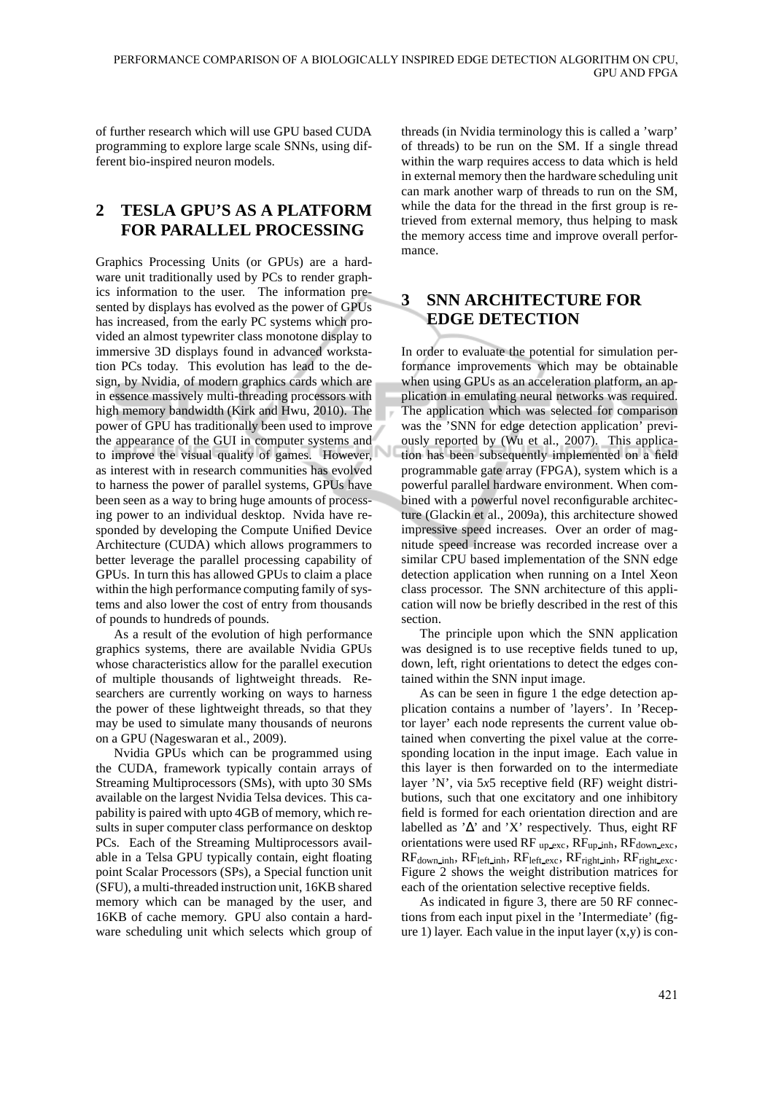of further research which will use GPU based CUDA programming to explore large scale SNNs, using different bio-inspired neuron models.

## **2 TESLA GPU'S AS A PLATFORM FOR PARALLEL PROCESSING**

Graphics Processing Units (or GPUs) are a hardware unit traditionally used by PCs to render graphics information to the user. The information presented by displays has evolved as the power of GPUs has increased, from the early PC systems which provided an almost typewriter class monotone display to immersive 3D displays found in advanced workstation PCs today. This evolution has lead to the design, by Nvidia, of modern graphics cards which are in essence massively multi-threading processors with high memory bandwidth (Kirk and Hwu, 2010). The power of GPU has traditionally been used to improve the appearance of the GUI in computer systems and to improve the visual quality of games. However, as interest with in research communities has evolved to harness the power of parallel systems, GPUs have been seen as a way to bring huge amounts of processing power to an individual desktop. Nvida have responded by developing the Compute Unified Device Architecture (CUDA) which allows programmers to better leverage the parallel processing capability of GPUs. In turn this has allowed GPUs to claim a place within the high performance computing family of systems and also lower the cost of entry from thousands of pounds to hundreds of pounds.

As a result of the evolution of high performance graphics systems, there are available Nvidia GPUs whose characteristics allow for the parallel execution of multiple thousands of lightweight threads. Researchers are currently working on ways to harness the power of these lightweight threads, so that they may be used to simulate many thousands of neurons on a GPU (Nageswaran et al., 2009).

Nvidia GPUs which can be programmed using the CUDA, framework typically contain arrays of Streaming Multiprocessors (SMs), with upto 30 SMs available on the largest Nvidia Telsa devices. This capability is paired with upto 4GB of memory, which results in super computer class performance on desktop PCs. Each of the Streaming Multiprocessors available in a Telsa GPU typically contain, eight floating point Scalar Processors (SPs), a Special function unit (SFU), a multi-threaded instruction unit, 16KB shared memory which can be managed by the user, and 16KB of cache memory. GPU also contain a hardware scheduling unit which selects which group of threads (in Nvidia terminology this is called a 'warp' of threads) to be run on the SM. If a single thread within the warp requires access to data which is held in external memory then the hardware scheduling unit can mark another warp of threads to run on the SM, while the data for the thread in the first group is retrieved from external memory, thus helping to mask the memory access time and improve overall performance.

### **3 SNN ARCHITECTURE FOR EDGE DETECTION**

In order to evaluate the potential for simulation performance improvements which may be obtainable when using GPUs as an acceleration platform, an application in emulating neural networks was required. The application which was selected for comparison was the 'SNN for edge detection application' previously reported by (Wu et al., 2007). This application has been subsequently implemented on a field programmable gate array (FPGA), system which is a powerful parallel hardware environment. When combined with a powerful novel reconfigurable architecture (Glackin et al., 2009a), this architecture showed impressive speed increases. Over an order of magnitude speed increase was recorded increase over a similar CPU based implementation of the SNN edge detection application when running on a Intel Xeon class processor. The SNN architecture of this application will now be briefly described in the rest of this section.

The principle upon which the SNN application was designed is to use receptive fields tuned to up, down, left, right orientations to detect the edges contained within the SNN input image.

As can be seen in figure 1 the edge detection application contains a number of 'layers'. In 'Receptor layer' each node represents the current value obtained when converting the pixel value at the corresponding location in the input image. Each value in this layer is then forwarded on to the intermediate layer 'N', via 5*x*5 receptive field (RF) weight distributions, such that one excitatory and one inhibitory field is formed for each orientation direction and are labelled as '∆' and 'X' respectively. Thus, eight RF orientations were used RF  $_{up\_exc}$ , RF<sub>up\_inh</sub>, RF<sub>down</sub>  $_{exc}$ ,  $RF<sub>down\_inh</sub>, RF<sub>left\_ink</sub>, RF<sub>left\_exc</sub>, RF<sub>right\_inh</sub>, RF<sub>right\_exc</sub>.$ Figure 2 shows the weight distribution matrices for each of the orientation selective receptive fields.

As indicated in figure 3, there are 50 RF connections from each input pixel in the 'Intermediate' (figure 1) layer. Each value in the input layer  $(x,y)$  is con-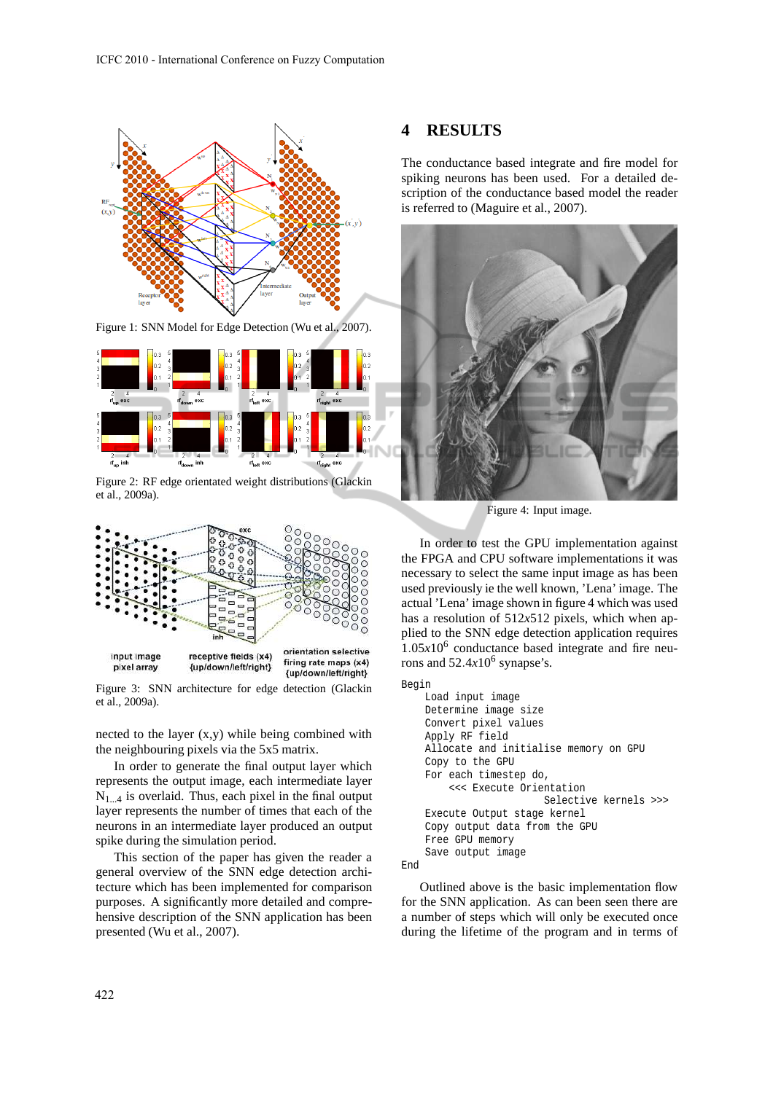

Figure 1: SNN Model for Edge Detection (Wu et al., 2007).



Figure 2: RF edge orientated weight distributions (Glackin et al., 2009a).



Figure 3: SNN architecture for edge detection (Glackin et al., 2009a).

nected to the layer (x,y) while being combined with the neighbouring pixels via the 5x5 matrix.

In order to generate the final output layer which represents the output image, each intermediate layer  $N_{1...4}$  is overlaid. Thus, each pixel in the final output layer represents the number of times that each of the neurons in an intermediate layer produced an output spike during the simulation period.

This section of the paper has given the reader a general overview of the SNN edge detection architecture which has been implemented for comparison purposes. A significantly more detailed and comprehensive description of the SNN application has been presented (Wu et al., 2007).

### **4 RESULTS**

The conductance based integrate and fire model for spiking neurons has been used. For a detailed description of the conductance based model the reader is referred to (Maguire et al., 2007).



Figure 4: Input image.

In order to test the GPU implementation against the FPGA and CPU software implementations it was necessary to select the same input image as has been used previously ie the well known, 'Lena' image. The actual 'Lena' image shown in figure 4 which was used has a resolution of 512*x*512 pixels, which when applied to the SNN edge detection application requires  $1.05x10<sup>6</sup>$  conductance based integrate and fire neurons and  $52.4x10^6$  synapse's.

Begin

```
Load input image
Determine image size
Convert pixel values
Apply RF field
Allocate and initialise memory on GPU
Copy to the GPU
For each timestep do,
    <<< Execute Orientation
                    Selective kernels >>>
Execute Output stage kernel
Copy output data from the GPU
Free GPU memory
Save output image
```
End

Outlined above is the basic implementation flow for the SNN application. As can been seen there are a number of steps which will only be executed once during the lifetime of the program and in terms of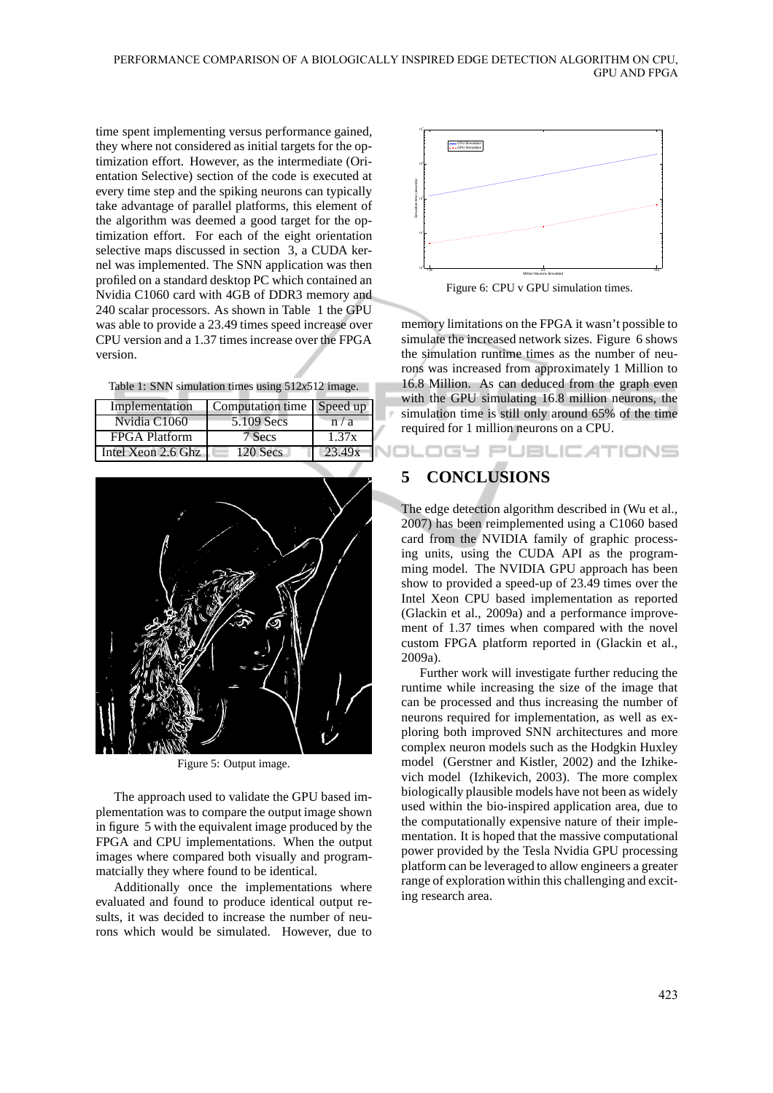time spent implementing versus performance gained, they where not considered as initial targets for the optimization effort. However, as the intermediate (Orientation Selective) section of the code is executed at every time step and the spiking neurons can typically take advantage of parallel platforms, this element of the algorithm was deemed a good target for the optimization effort. For each of the eight orientation selective maps discussed in section 3, a CUDA kernel was implemented. The SNN application was then profiled on a standard desktop PC which contained an Nvidia C1060 card with 4GB of DDR3 memory and 240 scalar processors. As shown in Table 1 the GPU was able to provide a 23.49 times speed increase over CPU version and a 1.37 times increase over the FPGA version.

| Table 1: SNN simulation times using $512x512$ image. |  |  |  |  |  |
|------------------------------------------------------|--|--|--|--|--|
|------------------------------------------------------|--|--|--|--|--|

| Implementation     | Computation time   Speed up |        |
|--------------------|-----------------------------|--------|
| Nvidia C1060       | 5.109 Secs                  | n/a    |
| FPGA Platform      | 7 Secs                      | 1.37x  |
| Intel Xeon 2.6 Ghz | $120$ Secs                  | 23.49x |



Figure 5: Output image.

The approach used to validate the GPU based implementation was to compare the output image shown in figure 5 with the equivalent image produced by the FPGA and CPU implementations. When the output images where compared both visually and programmatcially they where found to be identical.

Additionally once the implementations where evaluated and found to produce identical output results, it was decided to increase the number of neurons which would be simulated. However, due to



Figure 6: CPU v GPU simulation times.

memory limitations on the FPGA it wasn't possible to simulate the increased network sizes. Figure 6 shows the simulation runtime times as the number of neurons was increased from approximately 1 Million to 16.8 Million. As can deduced from the graph even with the GPU simulating 16.8 million neurons, the simulation time is still only around 65% of the time required for 1 million neurons on a CPU.

**JOLOGY PUBLICATIONS** 

### **5 CONCLUSIONS**

The edge detection algorithm described in (Wu et al., 2007) has been reimplemented using a C1060 based card from the NVIDIA family of graphic processing units, using the CUDA API as the programming model. The NVIDIA GPU approach has been show to provided a speed-up of 23.49 times over the Intel Xeon CPU based implementation as reported (Glackin et al., 2009a) and a performance improvement of 1.37 times when compared with the novel custom FPGA platform reported in (Glackin et al., 2009a).

Further work will investigate further reducing the runtime while increasing the size of the image that can be processed and thus increasing the number of neurons required for implementation, as well as exploring both improved SNN architectures and more complex neuron models such as the Hodgkin Huxley model (Gerstner and Kistler, 2002) and the Izhikevich model (Izhikevich, 2003). The more complex biologically plausible models have not been as widely used within the bio-inspired application area, due to the computationally expensive nature of their implementation. It is hoped that the massive computational power provided by the Tesla Nvidia GPU processing platform can be leveraged to allow engineers a greater range of exploration within this challenging and exciting research area.